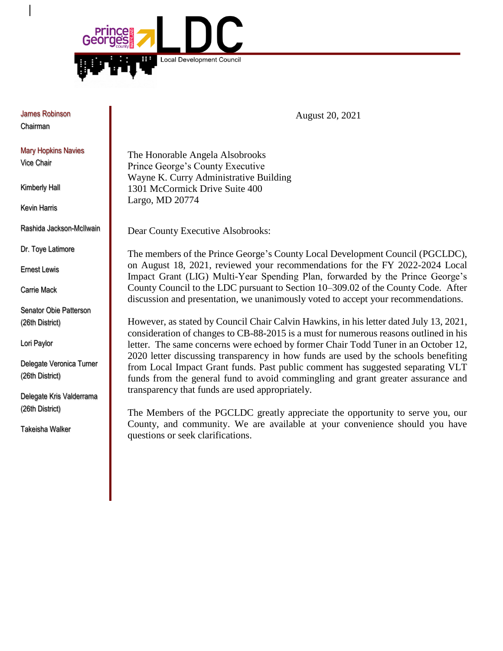

James Robinson Chairman

Mary Hopkins Navies Vice Chair

Kimberly Hall

Kevin Harris

Rashida Jackson-McIlwain

Dr. Toye Latimore

Ernest Lewis

Carrie Mack

Senator Obie Patterson (26th District)

Lori Paylor

Delegate Veronica Turner (26th District)

Delegate Kris Valderrama (26th District)

Takeisha Walker

August 20, 2021

The Honorable Angela Alsobrooks Prince George's County Executive Wayne K. Curry Administrative Building 1301 McCormick Drive Suite 400 Largo, MD 20774

Dear County Executive Alsobrooks:

The members of the Prince George's County Local Development Council (PGCLDC), on August 18, 2021, reviewed your recommendations for the FY 2022-2024 Local Impact Grant (LIG) Multi-Year Spending Plan, forwarded by the Prince George's County Council to the LDC pursuant to Section 10–309.02 of the County Code. After discussion and presentation, we unanimously voted to accept your recommendations.

However, as stated by Council Chair Calvin Hawkins, in his letter dated July 13, 2021, consideration of changes to CB-88-2015 is a must for numerous reasons outlined in his letter. The same concerns were echoed by former Chair Todd Tuner in an October 12, 2020 letter discussing transparency in how funds are used by the schools benefiting from Local Impact Grant funds. Past public comment has suggested separating VLT funds from the general fund to avoid commingling and grant greater assurance and transparency that funds are used appropriately.

The Members of the PGCLDC greatly appreciate the opportunity to serve you, our County, and community. We are available at your convenience should you have questions or seek clarifications.